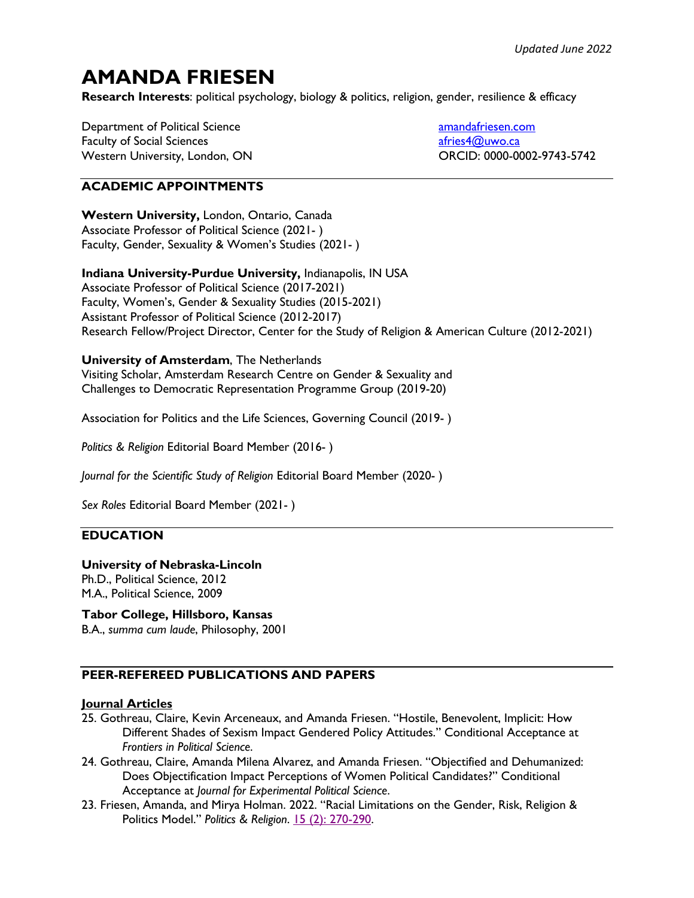# **AMANDA FRIESEN**

**Research Interests**: political psychology, biology & politics, religion, gender, resilience & efficacy

Department of Political Science Faculty of Social Sciences Western University, London, ON amandafriesen.com afries4@uwo.ca ORCID: 0000-0002-9743-5742

# **ACADEMIC APPOINTMENTS**

**Western University,** London, Ontario, Canada Associate Professor of Political Science (2021- ) Faculty, Gender, Sexuality & Women's Studies (2021- )

**Indiana University-Purdue University,** Indianapolis, IN USA Associate Professor of Political Science (2017-2021) Faculty, Women's, Gender & Sexuality Studies (2015-2021) Assistant Professor of Political Science (2012-2017) Research Fellow/Project Director, Center for the Study of Religion & American Culture (2012-2021)

## **University of Amsterdam**, The Netherlands

Visiting Scholar, Amsterdam Research Centre on Gender & Sexuality and Challenges to Democratic Representation Programme Group (2019-20)

Association for Politics and the Life Sciences, Governing Council (2019- )

*Politics & Religion* Editorial Board Member (2016- )

*Journal for the Scientific Study of Religion* Editorial Board Member (2020- )

*Sex Roles* Editorial Board Member (2021- )

## **EDUCATION**

### **University of Nebraska-Lincoln**

Ph.D., Political Science, 2012 M.A., Political Science, 2009

## **Tabor College, Hillsboro, Kansas**

B.A., *summa cum laude*, Philosophy, 2001

## **PEER-REFEREED PUBLICATIONS AND PAPERS**

#### **Journal Articles**

- 25. Gothreau, Claire, Kevin Arceneaux, and Amanda Friesen. "Hostile, Benevolent, Implicit: How Different Shades of Sexism Impact Gendered Policy Attitudes." Conditional Acceptance at *Frontiers in Political Science*.
- 24. Gothreau, Claire, Amanda Milena Alvarez, and Amanda Friesen. "Objectified and Dehumanized: Does Objectification Impact Perceptions of Women Political Candidates?" Conditional Acceptance at *Journal for Experimental Political Science*.
- 23. Friesen, Amanda, and Mirya Holman. 2022. "Racial Limitations on the Gender, Risk, Religion & Politics Model." *Politics & Religion*. 15 (2): 270-290.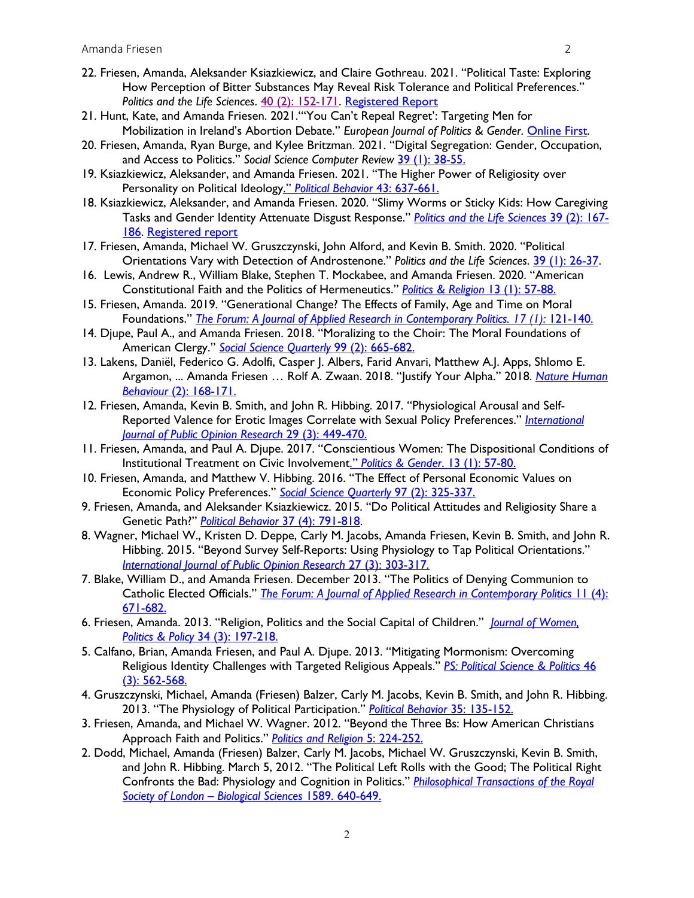- 22. Friesen, Amanda, Aleksander Ksiazkiewicz, and Claire Gothreau. 2021. "Political Taste: Exploring How Perception of Bitter Substances May Reveal Risk Tolerance and Political Preferences." *Politics and the Life Sciences*. 40 (2): 152-171. Registered Report
- 21. Hunt, Kate, and Amanda Friesen. 2021."'You Can't Repeal Regret': Targeting Men for Mobilization in Ireland's Abortion Debate." *European Journal of Politics & Gender*. Online First.
- 20. Friesen, Amanda, Ryan Burge, and Kylee Britzman. 2021. "Digital Segregation: Gender, Occupation, and Access to Politics." *Social Science Computer Review* 39 (1): 38-55.
- 19. Ksiazkiewicz, Aleksander, and Amanda Friesen. 2021. "The Higher Power of Religiosity over Personality on Political Ideology." *Political Behavior* 43: 637-661.
- 18. Ksiazkiewicz, Aleksander, and Amanda Friesen. 2020. "Slimy Worms or Sticky Kids: How Caregiving Tasks and Gender Identity Attenuate Disgust Response." *Politics and the Life Sciences* 39 (2): 167- 186. Registered report
- 17. Friesen, Amanda, Michael W. Gruszczynski, John Alford, and Kevin B. Smith. 2020. "Political Orientations Vary with Detection of Androstenone." *Politics and the Life Sciences*. 39 (1): 26-37.
- 16. Lewis, Andrew R., William Blake, Stephen T. Mockabee, and Amanda Friesen. 2020. "American Constitutional Faith and the Politics of Hermeneutics." *Politics & Religion* 13 (1): 57-88.
- 15. Friesen, Amanda. 2019. "Generational Change? The Effects of Family, Age and Time on Moral Foundations." *The Forum: A Journal of Applied Research in Contemporary Politics. 17 (1):* 121-140.
- 14. Djupe, Paul A., and Amanda Friesen. 2018. "Moralizing to the Choir: The Moral Foundations of American Clergy." *Social Science Quarterly* 99 (2): 665-682.
- 13. Lakens, Daniël, Federico G. Adolfi, Casper J. Albers, Farid Anvari, Matthew A.J. Apps, Shlomo E. Argamon, ... Amanda Friesen … Rolf A. Zwaan. 2018. "Justify Your Alpha." 2018. *Nature Human Behaviour* (2): 168-171.
- 12. Friesen, Amanda, Kevin B. Smith, and John R. Hibbing. 2017. "Physiological Arousal and Self-Reported Valence for Erotic Images Correlate with Sexual Policy Preferences." *International Journal of Public Opinion Research* 29 (3): 449-470.
- 11. Friesen, Amanda, and Paul A. Djupe. 2017. "Conscientious Women: The Dispositional Conditions of Institutional Treatment on Civic Involvement." *Politics & Gender*. 13 (1): 57-80.
- 10. Friesen, Amanda, and Matthew V. Hibbing. 2016. "The Effect of Personal Economic Values on Economic Policy Preferences." *Social Science Quarterly* 97 (2): 325-337.
- 9. Friesen, Amanda, and Aleksander Ksiazkiewicz. 2015. "Do Political Attitudes and Religiosity Share a Genetic Path?" *Political Behavior* 37 (4): 791-818.
- 8. Wagner, Michael W., Kristen D. Deppe, Carly M. Jacobs, Amanda Friesen, Kevin B. Smith, and John R. Hibbing. 2015. "Beyond Survey Self-Reports: Using Physiology to Tap Political Orientations." *International Journal of Public Opinion Research* 27 (3): 303-317.
- 7. Blake, William D., and Amanda Friesen. December 2013. "The Politics of Denying Communion to Catholic Elected Officials." *The Forum: A Journal of Applied Research in Contemporary Politics* 11 (4): 671-682.
- 6. Friesen, Amanda. 2013. "Religion, Politics and the Social Capital of Children." *Journal of Women, Politics & Policy* 34 (3): 197-218.
- 5. Calfano, Brian, Amanda Friesen, and Paul A. Djupe. 2013. "Mitigating Mormonism: Overcoming Religious Identity Challenges with Targeted Religious Appeals." *PS: Political Science & Politics* 46 (3): 562-568.
- 4. Gruszczynski, Michael, Amanda (Friesen) Balzer, Carly M. Jacobs, Kevin B. Smith, and John R. Hibbing. 2013. "The Physiology of Political Participation." *Political Behavior* 35: 135-152.
- 3. Friesen, Amanda, and Michael W. Wagner. 2012. "Beyond the Three Bs: How American Christians Approach Faith and Politics." *Politics and Religion* 5: 224-252.
- 2. Dodd, Michael, Amanda (Friesen) Balzer, Carly M. Jacobs, Michael W. Gruszczynski, Kevin B. Smith, and John R. Hibbing. March 5, 2012. "The Political Left Rolls with the Good; The Political Right Confronts the Bad: Physiology and Cognition in Politics." *Philosophical Transactions of the Royal Society of London – Biological Sciences* 1589. 640-649.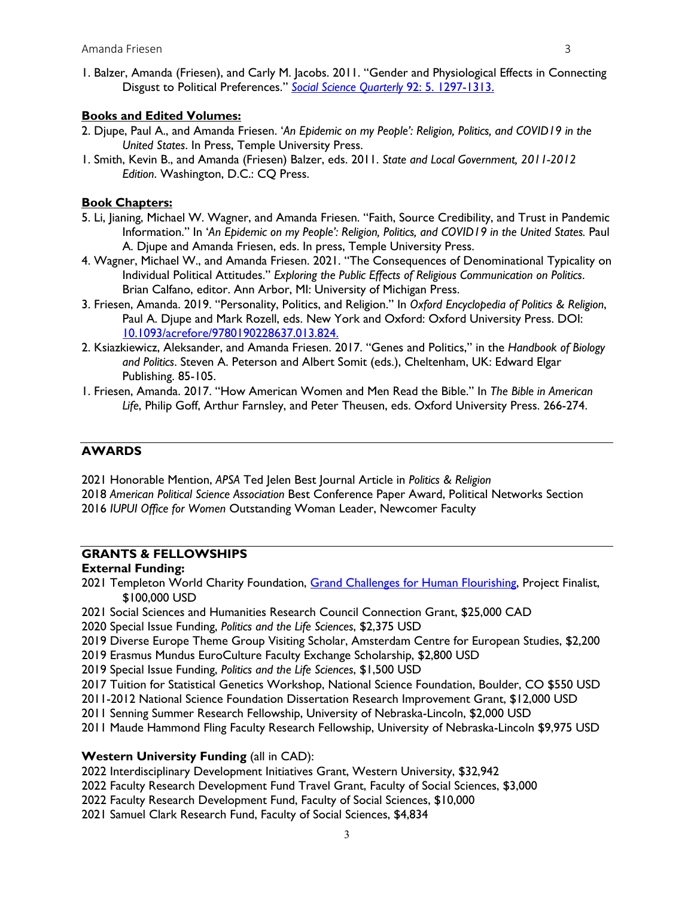1. Balzer, Amanda (Friesen), and Carly M. Jacobs. 2011. "Gender and Physiological Effects in Connecting Disgust to Political Preferences." *Social Science Quarterly* 92: 5. 1297-1313.

#### **Books and Edited Volumes:**

- 2. Djupe, Paul A., and Amanda Friesen. '*An Epidemic on my People': Religion, Politics, and COVID19 in the United States*. In Press, Temple University Press.
- 1. Smith, Kevin B., and Amanda (Friesen) Balzer, eds. 2011. *State and Local Government, 2011-2012 Edition*. Washington, D.C.: CQ Press.

#### **Book Chapters:**

- 5. Li, Jianing, Michael W. Wagner, and Amanda Friesen. "Faith, Source Credibility, and Trust in Pandemic Information." In '*An Epidemic on my People': Religion, Politics, and COVID19 in the United States.* Paul A. Djupe and Amanda Friesen, eds. In press, Temple University Press.
- 4. Wagner, Michael W., and Amanda Friesen. 2021. "The Consequences of Denominational Typicality on Individual Political Attitudes." *Exploring the Public Effects of Religious Communication on Politics*. Brian Calfano, editor. Ann Arbor, MI: University of Michigan Press.
- 3. Friesen, Amanda. 2019. "Personality, Politics, and Religion." In *Oxford Encyclopedia of Politics & Religion*, Paul A. Djupe and Mark Rozell, eds. New York and Oxford: Oxford University Press. DOI: 10.1093/acrefore/9780190228637.013.824.
- 2. Ksiazkiewicz, Aleksander, and Amanda Friesen. 2017. "Genes and Politics," in the *Handbook of Biology and Politics*. Steven A. Peterson and Albert Somit (eds.), Cheltenham, UK: Edward Elgar Publishing. 85-105.
- 1. Friesen, Amanda. 2017. "How American Women and Men Read the Bible." In *The Bible in American Life*, Philip Goff, Arthur Farnsley, and Peter Theusen, eds. Oxford University Press. 266-274.

## **AWARDS**

2021 Honorable Mention, *APSA* Ted Jelen Best Journal Article in *Politics & Religion*

2018 *American Political Science Association* Best Conference Paper Award, Political Networks Section 2016 *IUPUI Office for Women* Outstanding Woman Leader, Newcomer Faculty

## **GRANTS & FELLOWSHIPS**

#### **External Funding:**

- 2021 Templeton World Charity Foundation, Grand Challenges for Human Flourishing, Project Finalist, \$100,000 USD
- 2021 Social Sciences and Humanities Research Council Connection Grant, \$25,000 CAD
- 2020 Special Issue Funding, *Politics and the Life Sciences*, \$2,375 USD
- 2019 Diverse Europe Theme Group Visiting Scholar, Amsterdam Centre for European Studies, \$2,200
- 2019 Erasmus Mundus EuroCulture Faculty Exchange Scholarship, \$2,800 USD
- 2019 Special Issue Funding, *Politics and the Life Sciences*, \$1,500 USD
- 2017 Tuition for Statistical Genetics Workshop, National Science Foundation, Boulder, CO \$550 USD
- 2011-2012 National Science Foundation Dissertation Research Improvement Grant, \$12,000 USD
- 2011 Senning Summer Research Fellowship, University of Nebraska-Lincoln, \$2,000 USD
- 2011 Maude Hammond Fling Faculty Research Fellowship, University of Nebraska-Lincoln \$9,975 USD

#### **Western University Funding** (all in CAD):

- 2022 Interdisciplinary Development Initiatives Grant, Western University, \$32,942
- 2022 Faculty Research Development Fund Travel Grant, Faculty of Social Sciences, \$3,000
- 2022 Faculty Research Development Fund, Faculty of Social Sciences, \$10,000
- 2021 Samuel Clark Research Fund, Faculty of Social Sciences, \$4,834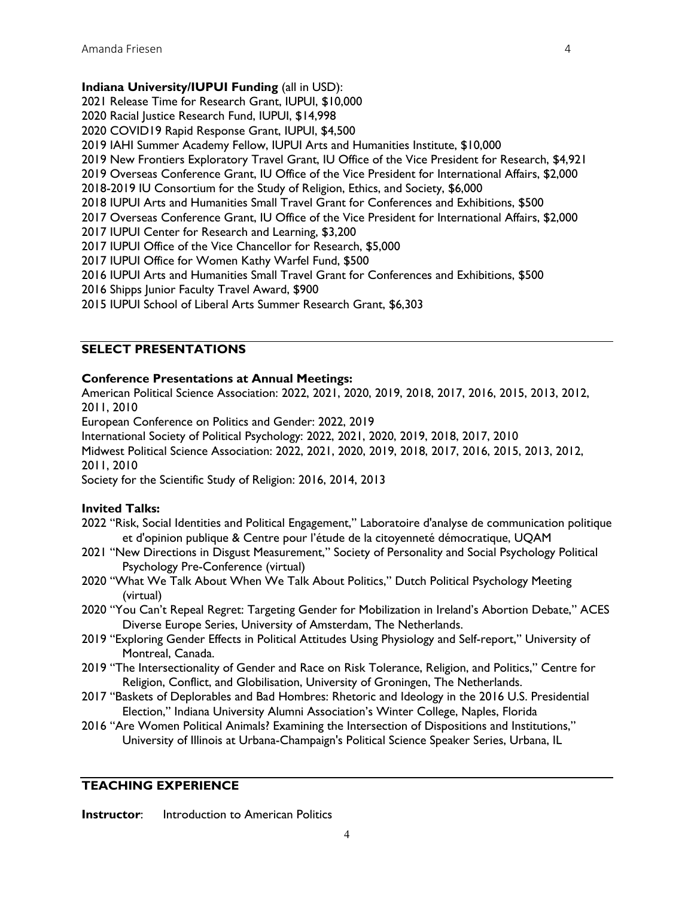## **Indiana University/IUPUI Funding** (all in USD):

2021 Release Time for Research Grant, IUPUI, \$10,000 2020 Racial Justice Research Fund, IUPUI, \$14,998 2020 COVID19 Rapid Response Grant, IUPUI, \$4,500 2019 IAHI Summer Academy Fellow, IUPUI Arts and Humanities Institute, \$10,000 2019 New Frontiers Exploratory Travel Grant, IU Office of the Vice President for Research, \$4,921 2019 Overseas Conference Grant, IU Office of the Vice President for International Affairs, \$2,000 2018-2019 IU Consortium for the Study of Religion, Ethics, and Society, \$6,000 2018 IUPUI Arts and Humanities Small Travel Grant for Conferences and Exhibitions, \$500 2017 Overseas Conference Grant, IU Office of the Vice President for International Affairs, \$2,000 2017 IUPUI Center for Research and Learning, \$3,200 2017 IUPUI Office of the Vice Chancellor for Research, \$5,000 2017 IUPUI Office for Women Kathy Warfel Fund, \$500 2016 IUPUI Arts and Humanities Small Travel Grant for Conferences and Exhibitions, \$500 2016 Shipps Junior Faculty Travel Award, \$900 2015 IUPUI School of Liberal Arts Summer Research Grant, \$6,303

## **SELECT PRESENTATIONS**

#### **Conference Presentations at Annual Meetings:**

American Political Science Association: 2022, 2021, 2020, 2019, 2018, 2017, 2016, 2015, 2013, 2012, 2011, 2010

European Conference on Politics and Gender: 2022, 2019

International Society of Political Psychology: 2022, 2021, 2020, 2019, 2018, 2017, 2010

Midwest Political Science Association: 2022, 2021, 2020, 2019, 2018, 2017, 2016, 2015, 2013, 2012, 2011, 2010

Society for the Scientific Study of Religion: 2016, 2014, 2013

#### **Invited Talks:**

- 2022 "Risk, Social Identities and Political Engagement," Laboratoire d'analyse de communication politique et d'opinion publique & Centre pour l'étude de la citoyenneté démocratique, UQAM
- 2021 "New Directions in Disgust Measurement," Society of Personality and Social Psychology Political Psychology Pre-Conference (virtual)
- 2020 "What We Talk About When We Talk About Politics," Dutch Political Psychology Meeting (virtual)
- 2020 "You Can't Repeal Regret: Targeting Gender for Mobilization in Ireland's Abortion Debate," ACES Diverse Europe Series, University of Amsterdam, The Netherlands.
- 2019 "Exploring Gender Effects in Political Attitudes Using Physiology and Self-report," University of Montreal, Canada.
- 2019 "The Intersectionality of Gender and Race on Risk Tolerance, Religion, and Politics," Centre for Religion, Conflict, and Globilisation, University of Groningen, The Netherlands.
- 2017 "Baskets of Deplorables and Bad Hombres: Rhetoric and Ideology in the 2016 U.S. Presidential Election," Indiana University Alumni Association's Winter College, Naples, Florida
- 2016 "Are Women Political Animals? Examining the Intersection of Dispositions and Institutions," University of Illinois at Urbana-Champaign's Political Science Speaker Series, Urbana, IL

## **TEACHING EXPERIENCE**

**Instructor:** Introduction to American Politics